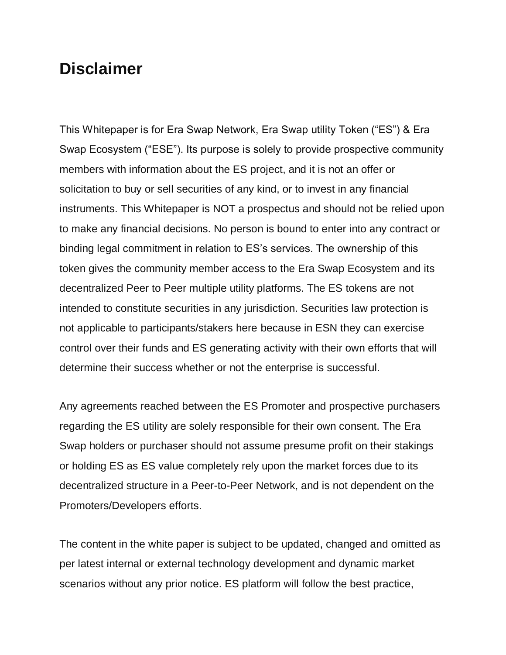## **Disclaimer**

This Whitepaper is for Era Swap Network, Era Swap utility Token ("ES") & Era Swap Ecosystem ("ESE"). Its purpose is solely to provide prospective community members with information about the ES project, and it is not an offer or solicitation to buy or sell securities of any kind, or to invest in any financial instruments. This Whitepaper is NOT a prospectus and should not be relied upon to make any financial decisions. No person is bound to enter into any contract or binding legal commitment in relation to ES's services. The ownership of this token gives the community member access to the Era Swap Ecosystem and its decentralized Peer to Peer multiple utility platforms. The ES tokens are not intended to constitute securities in any jurisdiction. Securities law protection is not applicable to participants/stakers here because in ESN they can exercise control over their funds and ES generating activity with their own efforts that will determine their success whether or not the enterprise is successful.

Any agreements reached between the ES Promoter and prospective purchasers regarding the ES utility are solely responsible for their own consent. The Era Swap holders or purchaser should not assume presume profit on their stakings or holding ES as ES value completely rely upon the market forces due to its decentralized structure in a Peer-to-Peer Network, and is not dependent on the Promoters/Developers efforts.

The content in the white paper is subject to be updated, changed and omitted as per latest internal or external technology development and dynamic market scenarios without any prior notice. ES platform will follow the best practice,